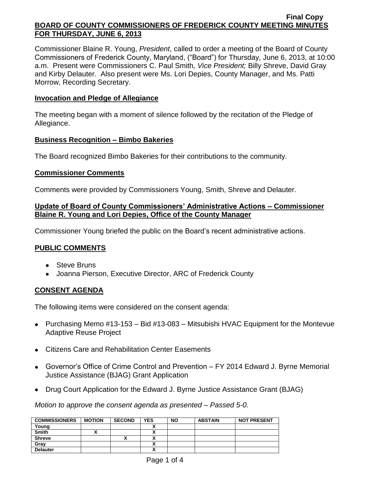Commissioner Blaine R. Young, *President*, called to order a meeting of the Board of County Commissioners of Frederick County, Maryland, ("Board") for Thursday, June 6, 2013, at 10:00 a.m. Present were Commissioners C. Paul Smith*, Vice President;* Billy Shreve, David Gray and Kirby Delauter. Also present were Ms. Lori Depies, County Manager, and Ms. Patti Morrow, Recording Secretary.

### **Invocation and Pledge of Allegiance**

The meeting began with a moment of silence followed by the recitation of the Pledge of Allegiance.

### **Business Recognition – Bimbo Bakeries**

The Board recognized Bimbo Bakeries for their contributions to the community.

### **Commissioner Comments**

Comments were provided by Commissioners Young, Smith, Shreve and Delauter.

## **Update of Board of County Commissioners' Administrative Actions – Commissioner Blaine R. Young and Lori Depies, Office of the County Manager**

Commissioner Young briefed the public on the Board's recent administrative actions.

# **PUBLIC COMMENTS**

- Steve Bruns
- Joanna Pierson, Executive Director, ARC of Frederick County

# **CONSENT AGENDA**

The following items were considered on the consent agenda:

- Purchasing Memo #13-153 Bid #13-083 Mitsubishi HVAC Equipment for the Montevue Adaptive Reuse Project
- Citizens Care and Rehabilitation Center Easements
- Governor's Office of Crime Control and Prevention FY 2014 Edward J. Byrne Memorial Justice Assistance (BJAG) Grant Application
- Drug Court Application for the Edward J. Byrne Justice Assistance Grant (BJAG)

*Motion to approve the consent agenda as presented – Passed 5-0.*

| <b>COMMISSIONERS</b> | <b>MOTION</b> | <b>SECOND</b> | <b>YES</b> | <b>NO</b> | <b>ABSTAIN</b> | <b>NOT PRESENT</b> |
|----------------------|---------------|---------------|------------|-----------|----------------|--------------------|
| Young                |               |               |            |           |                |                    |
| <b>Smith</b>         |               |               |            |           |                |                    |
| <b>Shreve</b>        |               |               |            |           |                |                    |
| Gray                 |               |               |            |           |                |                    |
| <b>Delauter</b>      |               |               |            |           |                |                    |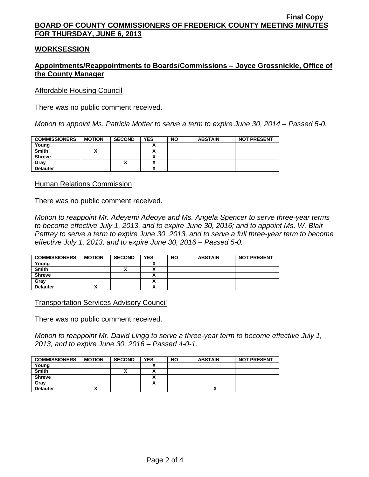### **WORKSESSION**

## **Appointments/Reappointments to Boards/Commissions – Joyce Grossnickle, Office of the County Manager**

#### Affordable Housing Council

There was no public comment received.

*Motion to appoint Ms. Patricia Motter to serve a term to expire June 30, 2014 – Passed 5-0.*

| <b>COMMISSIONERS</b> | <b>MOTION</b> | <b>SECOND</b> | <b>YES</b> | <b>NO</b> | <b>ABSTAIN</b> | <b>NOT PRESENT</b> |
|----------------------|---------------|---------------|------------|-----------|----------------|--------------------|
| Young                |               |               |            |           |                |                    |
| <b>Smith</b>         |               |               |            |           |                |                    |
| <b>Shreve</b>        |               |               |            |           |                |                    |
| Gray                 |               |               |            |           |                |                    |
| <b>Delauter</b>      |               |               | ~          |           |                |                    |

#### Human Relations Commission

There was no public comment received.

*Motion to reappoint Mr. Adeyemi Adeoye and Ms. Angela Spencer to serve three-year terms to become effective July 1, 2013, and to expire June 30, 2016; and to appoint Ms. W. Blair Pettrey to serve a term to expire June 30, 2013, and to serve a full three-year term to become effective July 1, 2013, and to expire June 30, 2016 – Passed 5-0.*

| <b>COMMISSIONERS</b> | <b>MOTION</b> | <b>SECOND</b> | <b>YES</b> | NO | <b>ABSTAIN</b> | <b>NOT PRESENT</b> |
|----------------------|---------------|---------------|------------|----|----------------|--------------------|
| Young                |               |               |            |    |                |                    |
| <b>Smith</b>         |               |               |            |    |                |                    |
| <b>Shreve</b>        |               |               |            |    |                |                    |
| Grav                 |               |               |            |    |                |                    |
| <b>Delauter</b>      |               |               |            |    |                |                    |

Transportation Services Advisory Council

There was no public comment received.

*Motion to reappoint Mr. David Lingg to serve a three-year term to become effective July 1, 2013, and to expire June 30, 2016 – Passed 4-0-1.*

| <b>COMMISSIONERS</b> | <b>MOTION</b> | <b>SECOND</b> | <b>YES</b> | <b>NO</b> | <b>ABSTAIN</b> | <b>NOT PRESENT</b> |
|----------------------|---------------|---------------|------------|-----------|----------------|--------------------|
| Young                |               |               |            |           |                |                    |
| <b>Smith</b>         |               |               | `          |           |                |                    |
| <b>Shreve</b>        |               |               |            |           |                |                    |
| Gray                 |               |               | ^          |           |                |                    |
| <b>Delauter</b>      |               |               |            |           |                |                    |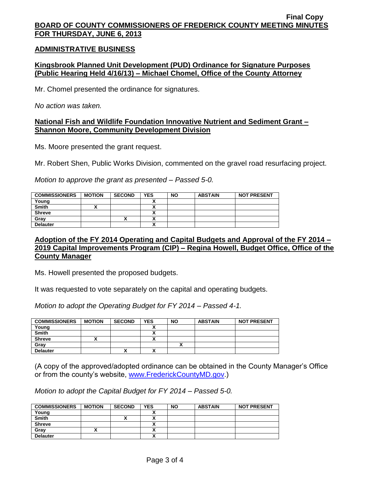### **ADMINISTRATIVE BUSINESS**

## **Kingsbrook Planned Unit Development (PUD) Ordinance for Signature Purposes (Public Hearing Held 4/16/13) – Michael Chomel, Office of the County Attorney**

Mr. Chomel presented the ordinance for signatures.

*No action was taken.*

#### **National Fish and Wildlife Foundation Innovative Nutrient and Sediment Grant – Shannon Moore, Community Development Division**

Ms. Moore presented the grant request.

Mr. Robert Shen, Public Works Division, commented on the gravel road resurfacing project.

*Motion to approve the grant as presented – Passed 5-0.*

| <b>COMMISSIONERS</b> | <b>MOTION</b> | <b>SECOND</b> | <b>YES</b> | <b>NO</b> | <b>ABSTAIN</b> | <b>NOT PRESENT</b> |
|----------------------|---------------|---------------|------------|-----------|----------------|--------------------|
| Young                |               |               |            |           |                |                    |
| <b>Smith</b>         |               |               |            |           |                |                    |
| <b>Shreve</b>        |               |               |            |           |                |                    |
| Gray                 |               | ́             |            |           |                |                    |
| <b>Delauter</b>      |               |               |            |           |                |                    |

### **Adoption of the FY 2014 Operating and Capital Budgets and Approval of the FY 2014 – 2019 Capital Improvements Program (CIP) – Regina Howell, Budget Office, Office of the County Manager**

Ms. Howell presented the proposed budgets.

It was requested to vote separately on the capital and operating budgets.

*Motion to adopt the Operating Budget for FY 2014 – Passed 4-1.*

| <b>COMMISSIONERS</b> | <b>MOTION</b> | <b>SECOND</b> | <b>YES</b> | <b>NO</b> | <b>ABSTAIN</b> | <b>NOT PRESENT</b> |
|----------------------|---------------|---------------|------------|-----------|----------------|--------------------|
| Young                |               |               |            |           |                |                    |
| <b>Smith</b>         |               |               |            |           |                |                    |
| <b>Shreve</b>        |               |               | ↗          |           |                |                    |
| Grav                 |               |               |            |           |                |                    |
| <b>Delauter</b>      |               |               | .,<br>^    |           |                |                    |

(A copy of the approved/adopted ordinance can be obtained in the County Manager's Office or from the county's website, [www.FrederickCountyMD.gov.](http://www.frederickcountymd.gov/))

*Motion to adopt the Capital Budget for FY 2014 – Passed 5-0.*

| <b>COMMISSIONERS</b> | <b>MOTION</b> | <b>SECOND</b> | <b>YES</b> | <b>NO</b> | <b>ABSTAIN</b> | <b>NOT PRESENT</b> |
|----------------------|---------------|---------------|------------|-----------|----------------|--------------------|
| Young                |               |               |            |           |                |                    |
| <b>Smith</b>         |               | ^             |            |           |                |                    |
| <b>Shreve</b>        |               |               |            |           |                |                    |
| Gray                 |               |               |            |           |                |                    |
| <b>Delauter</b>      |               |               |            |           |                |                    |